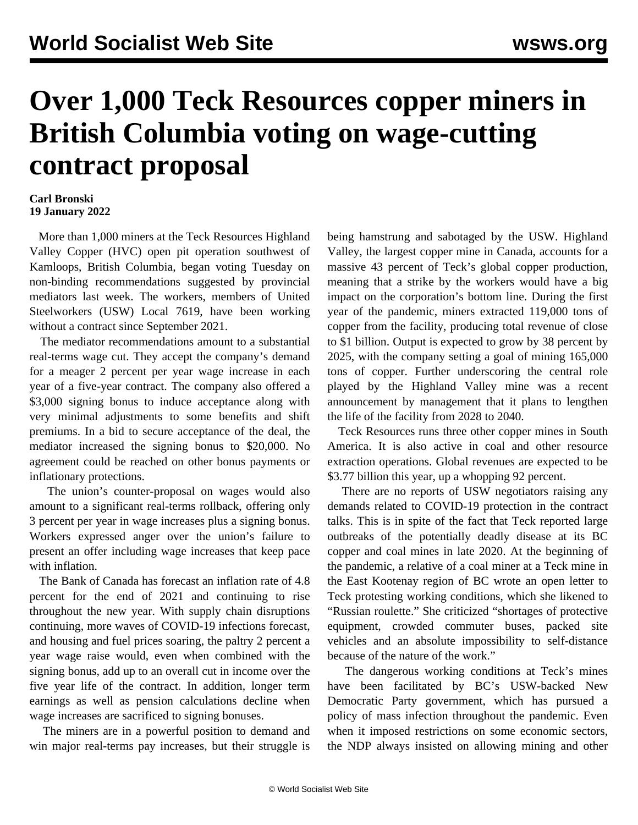## **Over 1,000 Teck Resources copper miners in British Columbia voting on wage-cutting contract proposal**

## **Carl Bronski 19 January 2022**

 More than 1,000 miners at the Teck Resources Highland Valley Copper (HVC) open pit operation southwest of Kamloops, British Columbia, began voting Tuesday on non-binding recommendations suggested by provincial mediators last week. The workers, members of United Steelworkers (USW) Local 7619, have been working without a contract since September 2021.

 The mediator recommendations amount to a substantial real-terms wage cut. They accept the company's demand for a meager 2 percent per year wage increase in each year of a five-year contract. The company also offered a \$3,000 signing bonus to induce acceptance along with very minimal adjustments to some benefits and shift premiums. In a bid to secure acceptance of the deal, the mediator increased the signing bonus to \$20,000. No agreement could be reached on other bonus payments or inflationary protections.

 The union's counter-proposal on wages would also amount to a significant real-terms rollback, offering only 3 percent per year in wage increases plus a signing bonus. Workers expressed anger over the union's failure to present an offer including wage increases that keep pace with inflation.

 The Bank of Canada has forecast an inflation rate of 4.8 percent for the end of 2021 and continuing to rise throughout the new year. With supply chain disruptions continuing, more waves of COVID-19 infections forecast, and housing and fuel prices soaring, the paltry 2 percent a year wage raise would, even when combined with the signing bonus, add up to an overall cut in income over the five year life of the contract. In addition, longer term earnings as well as pension calculations decline when wage increases are sacrificed to signing bonuses.

 The miners are in a powerful position to demand and win major real-terms pay increases, but their struggle is being hamstrung and sabotaged by the USW. Highland Valley, the largest copper mine in Canada, accounts for a massive 43 percent of Teck's global copper production, meaning that a strike by the workers would have a big impact on the corporation's bottom line. During the first year of the pandemic, miners extracted 119,000 tons of copper from the facility, producing total revenue of close to \$1 billion. Output is expected to grow by 38 percent by 2025, with the company setting a goal of mining 165,000 tons of copper. Further underscoring the central role played by the Highland Valley mine was a recent announcement by management that it plans to lengthen the life of the facility from 2028 to 2040.

 Teck Resources runs three other copper mines in South America. It is also active in coal and other resource extraction operations. Global revenues are expected to be \$3.77 billion this year, up a whopping 92 percent.

 There are no reports of USW negotiators raising any demands related to COVID-19 protection in the contract talks. This is in spite of the fact that Teck reported large outbreaks of the potentially deadly disease at its BC copper and coal mines in late 2020. At the beginning of the pandemic, a relative of a coal miner at a Teck mine in the East Kootenay region of BC wrote an open letter to Teck protesting working conditions, which she likened to "Russian roulette." She criticized "shortages of protective equipment, crowded commuter buses, packed site vehicles and an absolute impossibility to self-distance because of the nature of the work."

 The dangerous working conditions at Teck's mines have been facilitated by BC's USW-backed New Democratic Party government, which has pursued a policy of mass infection throughout the pandemic. Even when it imposed restrictions on some economic sectors, the NDP always insisted on allowing mining and other